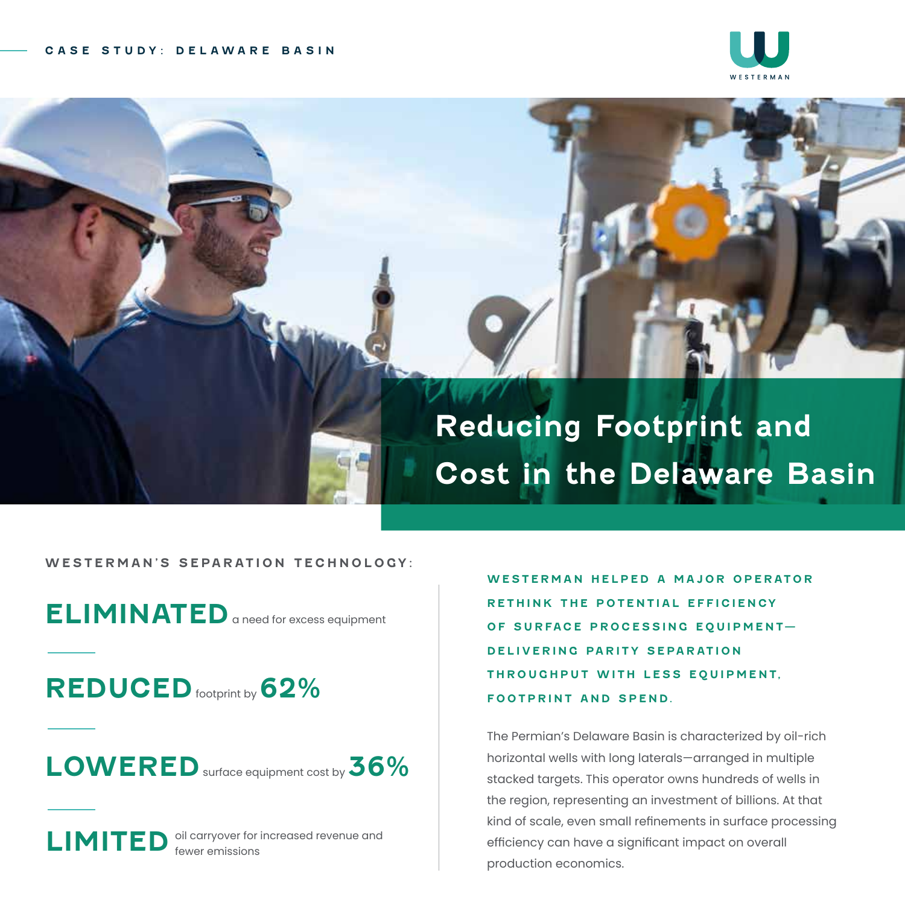

## **Reducing Footprint and Cost in the Delaware Basin**

**WESTERMAN'S SEPARATION TECHNOLOGY:**

**ELIMINATED** a need for excess equipment

**REDUCED** footprint by **62%**

**LOWERED**surface equipment cost by **36%**

LIMITED <sup>oil carryover for increased revenue and</sup>

WESTERMAN HELPED A MAJOR OPERATOR **RETHINK THE POTENTIAL EFFICIENCY OF SURFACE PROCESSING EQUIPMENT-DELIVERING PARITY SEPARATION THROUGHPUT WITH LESS EQUIPMENT, FOOTPRINT AND SPEND.** 

The Permian's Delaware Basin is characterized by oil-rich horizontal wells with long laterals—arranged in multiple stacked targets. This operator owns hundreds of wells in the region, representing an investment of billions. At that kind of scale, even small refinements in surface processing efficiency can have a significant impact on overall production economics.